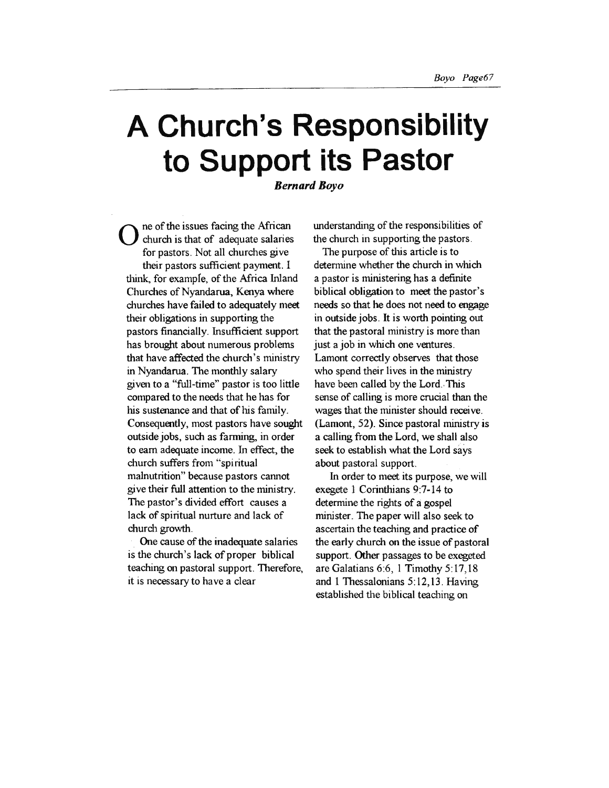# **A Church's Responsibility to Support its Pastor**

*Bernard Boyo* 

O ne of the issues facing the African<br>
church is that of adequate salaries<br>
connectors
Net all obverles give for pastors. Not all churches give their pastors sufficient payment. I think, for example, of the Mrica Inland Churches of Nyandarua, Kenya where churches have failed to adequately meet their obligations in supporting the pastors financially. Insufficient support has brought about numerous problems that have affected the church's ministry in Nyandarua. The monthly salary given to a "full-time" pastor is too little compared to the needs that he has for his sustenance and that of his family. Consequently, most pastors have sought outside jobs, such as farming, in order to earn adequate income. In effect, the church suffers from "spiritual malnutrition" because pastors cannot give their full attention to the ministry. The pastor's divided effort causes a lack of spiritual nurture and lack of church growth.

One cause of the inadequate salaries is the church's lack of proper biblical teaching on pastoral support. Therefore, it is necessary to have a clear

understanding of the responsibilities of the church in supporting the pastors.

The purpose of this article is to determine whether the church in which a pastor is ministering has a definite biblical obligation to meet the pastor's needs so that he does not need to engage in outside jobs. It is worth pointing out that the pastoral ministry is more than just a job in which one ventures. Lamont correctly observes that those who spend their lives in the ministry have been called by the Lord. This sense of calling is more crucial than the wages that the minister should receive. (Lamont, 52). Since pastoral ministry is a calling from the Lord, we shall also seek to establish what the Lord says about pastoral support.

In order to meet its purpose, we will exegete 1 Corinthians 9:7-14 to determine the rights of a gospel minister. The paper will also seek to ascertain the teaching and practice of the early church on the issue of pastoral support. Other passages to be exegeted are Galatians 6:6, 1 Timothy 5:17,18 and 1 Thessalonians 5: 12, 13 . Having established the biblical teaching on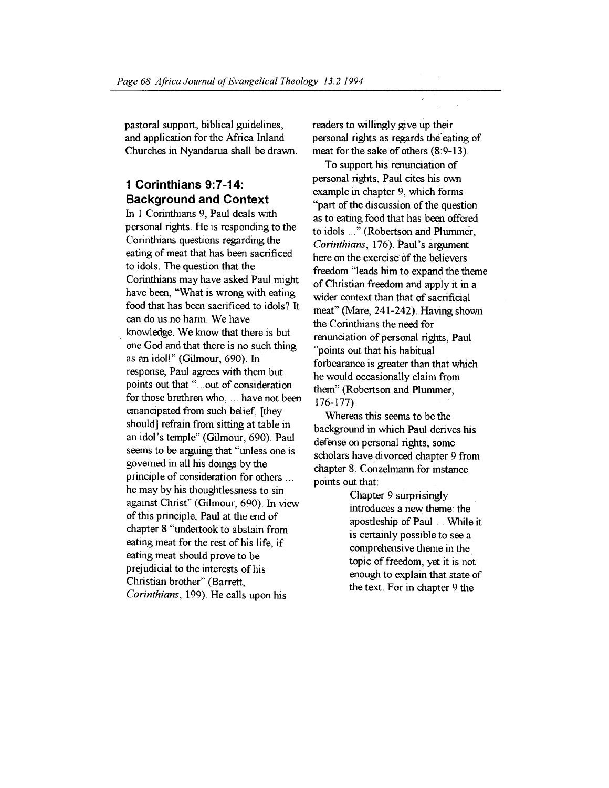pastoral support, biblical guidelines, and application for the Mrica Inland Churches in Nyandarua shall be drawn.

## **1 Corinthians 9:7-14: Background and Context**

In 1 Corinthians 9, Paul deals with personal rights. He is responding to the Corinthians questions regarding the eating of meat that has been sacrificed to idols. The question that the Corinthians may have asked Paul might have been, "What is wrong with eating food that has been sacrificed to idols? It can do us no harm. We have knowledge. We know that there is but one God and that there is no such thing as an idol!" (Gilmour, 690). In response, Paul agrees with them but points out that" ... out of consideration for those brethren who, ... have not been emancipated from such belief, [they should] refrain from sitting at table in an idol's temple" (Gilmour, 690). Paul seems to be arguing that "unless one is governed in all his doings by the principle of consideration for others ... he may by his thoughtlessness to sin against Christ" (Gilmour, 690). In view of this principle, Paul at the end of chapter 8 "undertook to abstain from eating meat for the rest of his life, if eating meat should prove to be prejudicial to the interests of his Christian brother" (Barrett, *Corinthians,* 199). He calls upon his

readers to willingly give up their personal rights as regards the"eating of meat for the sake of others (8:9-13).

Ğ.

To support his renunciation of personal rights, Paul cites his own example in chapter 9, which forms "part of the discussion of the question as to eating food that has been offered to idols ..." (Robertson and Plummer, *Corinthians,* 176). Paul's argument here on the exercise of the believers freedom "leads him to expand the theme of Christian freedom and apply it in a wider context than that of sacrificial meat" (Mare, 241-242). Having shown the Corinthians the need for renunciation of personal rights, Paul "points out that his habitual forbearance is greater than that which he would occasionally claim from them" (Robertson and Plummer, 176-177).

Whereas this seems to be the background in which Paul derives his defense on personal rights, some scholars have divorced chapter 9 from chapter 8. Conzelmann for instance points out that:

> Chapter 9 surprisingly introduces a new theme: the apostleship of Paul .. While it is certainly possible to see a comprehensive theme in the topic of freedom, yet it is not enough to explain that state of the text. For in chapter 9 the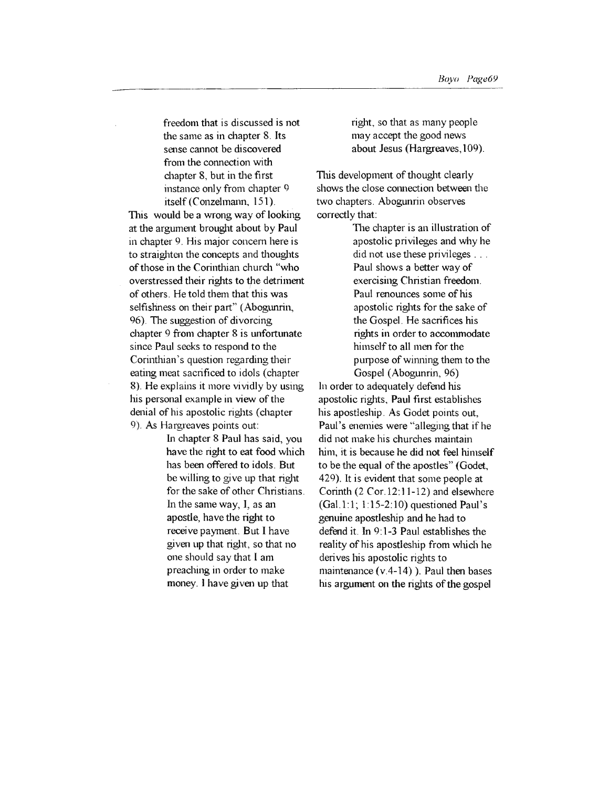the same as in chapter 8. Jts sense cannot be discovered from the connection with chapter 8, but in the first instance only from chapter 9 itself (Conzelmann, 151).

This would be a wrong way of looking at the argument brought about by Paul in chapter 9. His major concern here is to straighten the concepts and thoughts of those in the Corinthian church "who overstressed their rights to the detriment of others. He told them that this was selfishness on their part" (Abogunrin, 96). The suggestion of divorcing chapter 9 from chapter 8 is unfortunate since Paul seeks to respond to the Corinthian's question regarding their eating meat sacrificed to idols (chapter 8). He explains it more vividly by using his personal example in view of the denial of his apostolic rights (chapter 9). As Hargreaves points out:

In chapter 8 Paul has said, you have the right to eat food which has been offered to idols. But be willing to give up that right for the sake of other Christians. In the same way, 1, as an apostle, have the right to receive payment. But I have given up that right, so that no one should say that I am preaching in order to make money. l have given up that

right, so that as many people may accept the good news about Jesus (Hargreaves, 109).

This development of thought clearly shows the close connection between the two chapters. Abogunrin observes correctly that:

> The chapter is an illustration of apostolic privileges and why he did not use these privileges . . . Paul shows a better way of exercising Christian freedom. Paul renounces some of his apostolic rights for the sake of the Gospel. He sacrifices his rights in order to accommodate himself to all men for the purpose of winning them to the Gospel (Abogunrin, 96)

In order to adequately defend his apostolic rights, Paul first establishes his apostleship. As Godet points out, Paul's enemies were "alleging that if he did not make his churches maintain him, it is because he did not feel himself to be the equal of the apostles" (Godet, 429). It is evident that some people at Corinth (2 Cor.l2:11-12) and elsewhere  $(Gal. 1:1; 1:15-2:10)$  questioned Paul's genuine apostleship and he had to defend it. In 9:1-3 Paul establishes the reality of his apostleship from which he derives his apostolic rights to maintenance (v.4-14) ). Paul then bases his argument on the rights of the gospel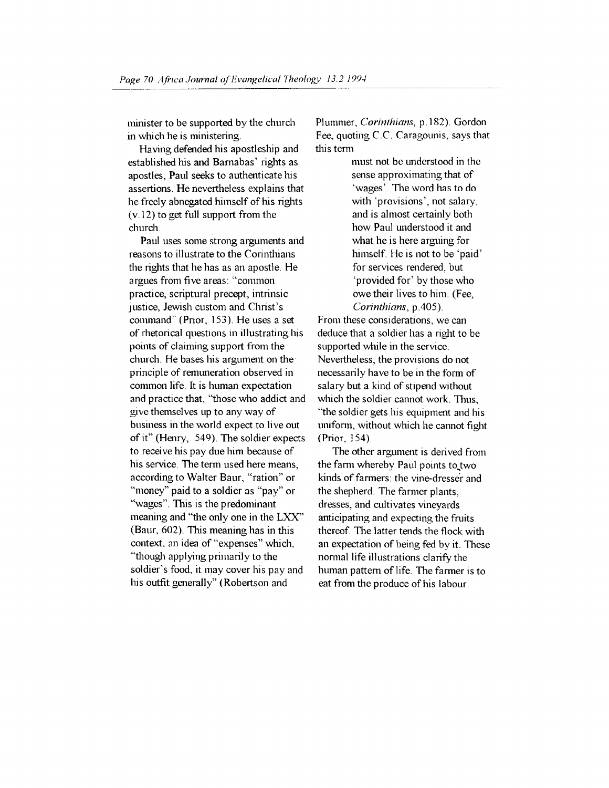minister to be supported by the church in which he is ministering.

Having defended his apostleship and established his and Bamabas' rights as apostles, Paul seeks to authenticate his assertions. He nevertheless explains that he freely abnegated himself of his rights  $(v.12)$  to get full support from the church.

Paul uses some strong arguments and reasons to illustrate to the Corinthians the rights that he has as an apostle. He argues from five areas: "common practice, scriptural precept, intrinsic justice, Jewish custom and Christ's command'' (Prior, 153). He uses a set of rhetorical questions in illustrating his points of claiming support from the church. He bases his argument on the principle of remuneration observed in common life. It is human expectation and practice that, "those who addict and give themselves up to any way of business in the world expect to live out of it" (Henry, 549). The soldier expects to receive his pay due him because of his service. The term used here means, according to Waiter Baur, "ration" or "money" paid to a soldier as "pay" or "wages". This is the predominant meaning and "the only one in the LXX" (Baur, 602). This meaning has in this context, an idea of "expenses" which, "though applying primarily to the soldier's food, it may cover his pay and his outfit generally" (Robertson and

Plummer, *Corinthians,* p.182). Gordon Fee, quoting C.C. Caragounis, says that this term

> must not be understood in the sense approximating that of 'wages'. The word has to do with 'provisions', not salary, and is almost certainly both how Paul understood it and what he is here arguing for himself. He is not to be 'paid' for services rendered, but 'provided for' by those who owe their lives to him. (Fee, *Corinthians,* p.405).

From these considerations, we can deduce that a soldier has a right to be supported while in the service. Nevertheless, the provisions do not necessarily have to be in the form of salary but a kind of stipend without which the soldier cannot work. Thus, "the soldier gets his equipment and his unifonn, without which he cannot fight (Prior, 154).

The other argument is derived from the farm whereby Paul points to two kinds of farmers: the vine-dresser and the shepherd. The farmer plants, dresses, and cultivates vineyards anticipating and expecting the fruits thereof. The latter tends the flock with an expectation of being fed by it. These normal life illustrations clarify the human pattern of life. The farmer is to eat from the produce of his labour.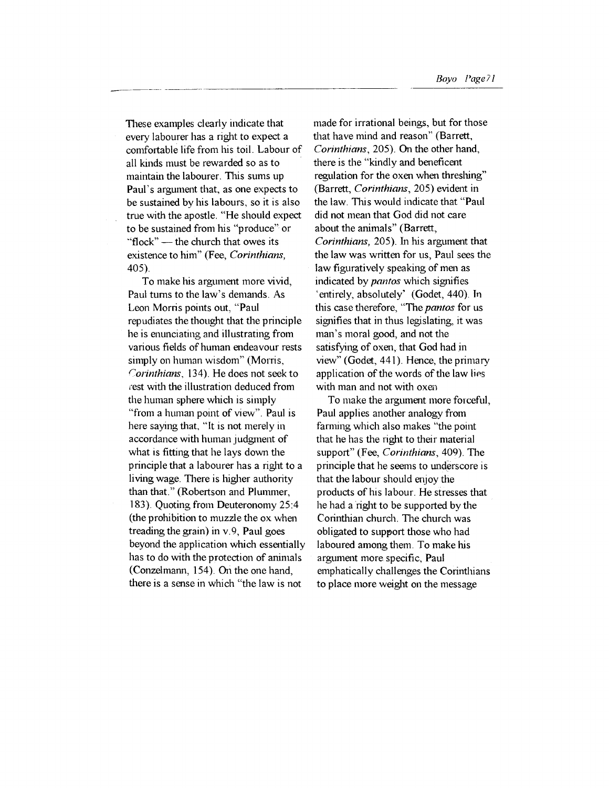These examples clearly indicate that every labourer has a right to expect a comfortable life from his toil. Labour of all kinds must be rewarded so as to maintain the labourer. This sums up Paul's argument that, as one expects to be sustained by his labours, so it is also true with the apostle. "He should expect to be sustained from his "produce" or "flock"  $-$  the church that owes its existence to him" (Fee, *Corinthians,*  405).

To make his argument more vivid, Paul tums to the law's demands. As Leon Morris points out, "Paul repudiates the thought that the principle he is enunciating and illustrating from various fields of human endeavour rests simply on human wisdom" (Morris, *Corinthians,* 134). He does not seek to rest with the illustration deduced from the human sphere which is simply "from a human point of view". Paul is here saying that, "It is not merely in accordance with human judgment of what is fitting that he lays down the principle that a labourer has a right to a living wage. There is higher authority than that." (Robertson and Plummer, 183). Quoting from Deuteronomy 25:4 (the prohibition to muzzle the ox when treading the grain) in v. 9, Paul goes beyond the application which essentially has to do with the protection of animals (Conzelmann, 154). On the one hand, there is a sense in which "the law is not

made for irrational beings, but for those that have mind and reason" (Barrett, *Corinthians,* 205). On the other hand, there is the "kindly and beneficent regulation for the oxen when threshing" (Barrett, *Corinthians,* 205) evident in the law. This would indicate that "Paul did not mean that God did not care about the animals" (Barrett, *Corinthians,* 205). In his argument that the law was written for us, Paul sees the law figuratively speaking of men as indicated by *pantos* which signifies 'entirely, absolutely' (Godet, 440). Tn this case therefore, "The *pantos* for us signifies that in thus legislating, it was man's moral good, and not the satisfying of oxen, that God had in view" (Godet, 441). Hence, the primary application of the words of the law lies with man and not with oxen

To make the argument more forceful, Paul applies another analogy from farming which also makes "the point that he has the right to their material support" (Fee, *Corinthians,* 409). The principle that he seems to underscore is that the labour should enjoy the products of his labour. He stresses that he had a right to be supported by the Corinthian church. The church was obligated to support those who had laboured among them. To make his argument more specific, Paul emphatically challenges the Corinthians to place more weight on the message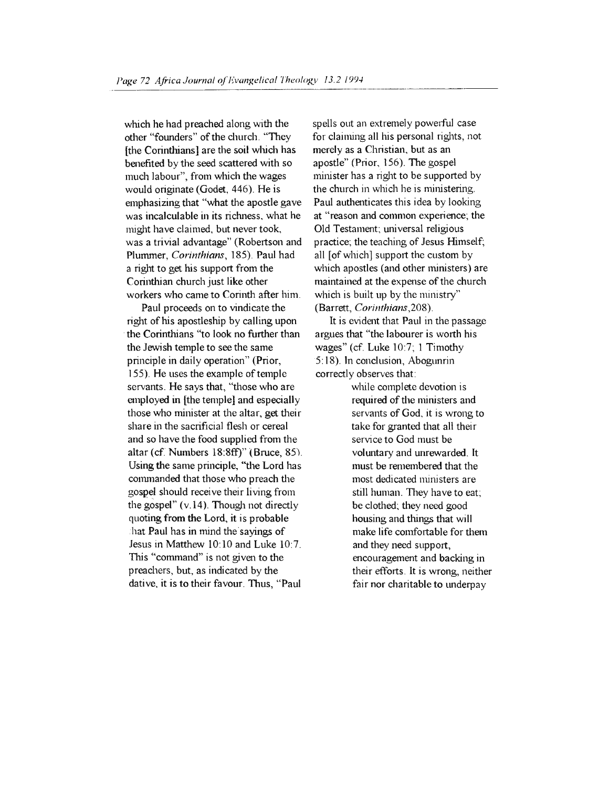which he had preached along with the other "founders" of the church . "They [the Corinthians] are the soil which has benefited by the seed scattered with so much labour", from which the wages would originate (Godet, 446). He is emphasizing that "what the apostle gave was incalculable in its richness, what he might have claimed, but never took, was a trivial advantage" (Robertson and Plummer, *Corinthians,* 185). Paul had a right to get his support from the Corinthian church just like other workers who came to Corinth after him.

Paul proceeds on to vindicate the right of his apostleship by calling upon the Corinthians "to look no further than the Jewish temple to see the same principle in daily operation" (Prior, 155) He uses the example of temple servants. He says that, "those who are employed in [the temple] and especially those who minister at the altar, get their share in the sacrificial flesh or cereal and so have the food supplied from the altar (cf. Numbers 18:8ff)" (Bruce, 85) Using the same principle, "the Lord has commanded that those who preach the gospel should receive their living from the gospel"  $(v.14)$ . Though not directly quoting from the Lord, it is probable , hat Paul has in mind the sayings of Jesus in Matthew 10:10 and Luke 10:7. This "command" is not given to the preachers, but, as indicated by the dative, it is to their favour. Thus, "Paul

spells out an extremely powerful case for claiming all his personal rights, not merely as a Christian, but as an apostle" (Prior, 156). The gospel minister has a right to be supported by the church in which he is ministering. Paul authenticates this idea by looking at "reason and common experience; the Old Testament; universal religious practice; the teaching of Jesus Himself; all [of which] support the custom by which apostles (and other ministers) are maintained at the expense of the church which is built up by the ministry" (Barrett, *Corinthians* ,208).

It is evident that Paul in the passage argues that "the labourer is worth his wages" (cf. Luke 10:7; 1 Timothy 5: 18). In conclusion, Abogunrin correctly observes that:

> while complete devotion is required of the ministers and servants of God, it is wrong to take for granted that all their service to God must be voluntary and unrewarded. It must be remembered that the most dedicated ministers are still human. They have to eat; be clothed; they need good housing and things that will make life comfortable for them and they need support, encouragement and backing in their efforts. It is wrong, neither fair nor charitable to underpay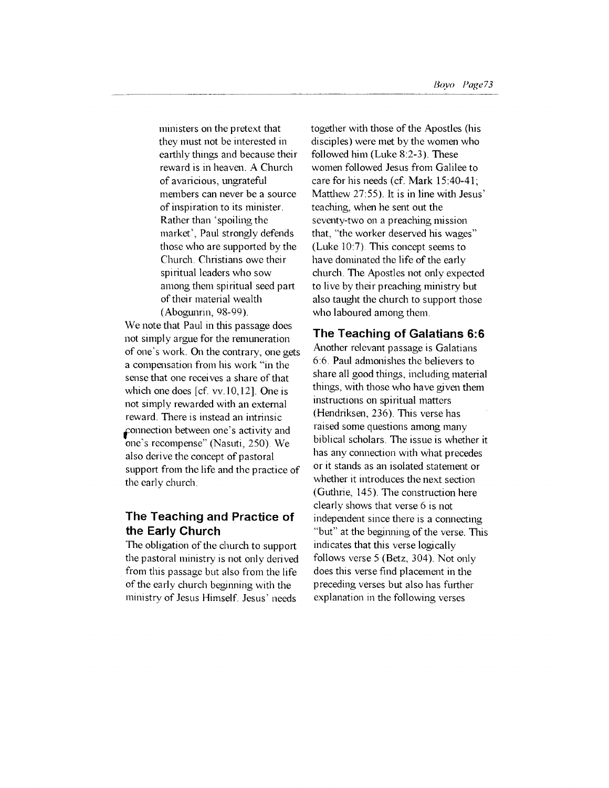ministers on the pretext that they must not be interested in earthly things and because their reward is in heaven. A Church of avaricious, ungrateful members can never be a source of inspiration to its minister. Rather than 'spoiling the market', Paul strongly defends those who are supported by the Church. Christians owe their spiritual leaders who sow among them spiritual seed part of their material wealth (Abogunrin, 98-99).

We note that Paul in this passage does not simply argue for the remuneration of one's work. On the contrary, one gets a compensation from his work "in the sense that one receives a share of that which one does [cf. vv. 10, 12]. One is not simply rewarded with an external reward. There is instead an intrinsic connection between one's activity and one's recompense" (Nasuti, 250). We also derive the concept of pastoral support from the life and the practice of the early church.

## **The Teaching and Practice of the Early Church**

The obligation of the church to support the pastoral ministry is not only derived from this passage but also from the life of the early church beginning with the ministry of Jesus Himself. Jesus' needs

together with those of the Apostles (his disciples) were met by the women who followed him (Luke 8:2-3). These women followed Jesus from Galilee to care for his needs (cf. Mark 15:40-41; Matthew 27:55). It is in line with Jesus' teaching, when he sent out the seventy-two on a preaching mission that, "the worker deserved his wages" (Luke 10:7). This concept seems to have dominated the life of the early church. The Apostles not only expected to live by their preaching ministry but also taught the church to support those who laboured among them.

#### **The Teaching of Galatians 6:6**

Another relevant passage is Galatians 6:6. Paul admonishes the believers to share all good things, including material things, with those who have given them instructions on spiritual matters (Hendriksen, 236). This verse has raised some questions among many biblical scholars. The issue is whether it has any connection with what precedes or it stands as an isolated statement or whether it introduces the next section (Guthrie, 145). The construction here clearly shows that verse 6 is not independent since there is a connecting "but" at the beginning of the verse. This indicates that this verse logically follows verse 5 (Betz, 304). Not only does this verse find placement in the preceding verses but also has further explanation in the following verses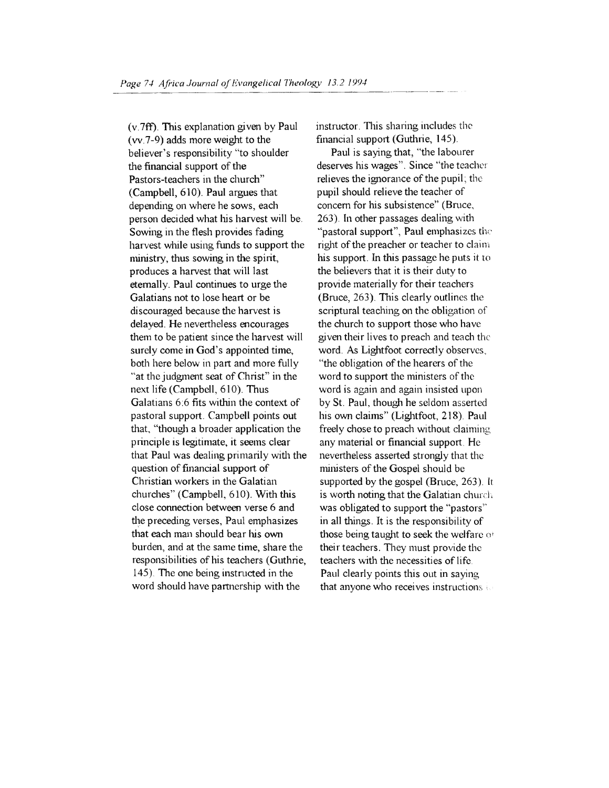(v.7ft). This explanation given by Paul (vv.7-9) adds more weight to the believer's responsibility "to shoulder the financial support of the Pastors-teachers in the church" (Campbell, 610). Paul argues that depending on where he sows, each person decided what his harvest will be. Sowing in the flesh provides fading harvest while using funds to support the nunistry, thus sowing in the spirit, produces a harvest that will last eternally. Paul continues to urge the Galatians not to lose heart or be discouraged because the harvest is delayed. He nevettheless encourages them to be patient since the harvest will surely come in God's appointed time, both here below in part and more fully "at the judgment seat of Christ" in the next life (Campbell, 6 10). Thus Galatians 6:6 fits within the context of pastoral support. Campbell points out that, "though a broader application the principle is legitimate, it seems clear that Paul was dealing primarily with the question of financial support of Christian workers in the Galatian churches" (Campbell, 610). With this close connection between verse 6 and the preceding verses, Paul emphasizes that each man should bear his own burden, and at the same time, share the responsibilities of his teachers (Guthrie, 145). The one being instructed in the word should have partnership with the

instructor. This sharing includes the financial support (Guthrie,  $145$ ).

Paul is saying that, "the labourer deserves his wages". Since "the teacher relieves the ignorance of the pupil; the pupil should relieve the teacher of concern for his subsistence" (Bruce, 263). In other passages dealing with "pastoral support", Paul emphasizes the right of the preacher or teacher to claim his support. In this passage he puts it to the believers that it is their duty to provide materially for their teachers (Bruce, 263). This clearly outlines the scriptural teaching on the obligation of the church to support those who have given their lives to preach and teach the word. As Lightfoot correctly observes, "the obligation of the hearers of the word to support the ministers of the word is again and again insisted upon by St. Paul, though he seldom asserted his own claims" (Lightfoot, 218). Paul freely chose to preach without claiming any material or financial support. He nevertheless asserted strongly that the ministers of the Gospel should be supported by the gospel (Bruce, 263). It is worth noting that the Galatian church was obligated to support the "pastors'' in all things. It is the responsibility of those being taught to seek the welfare o• their teachers. They must provide the teachers with the necessities of life. Paul clearly points this out in saying that anyone who receives instructions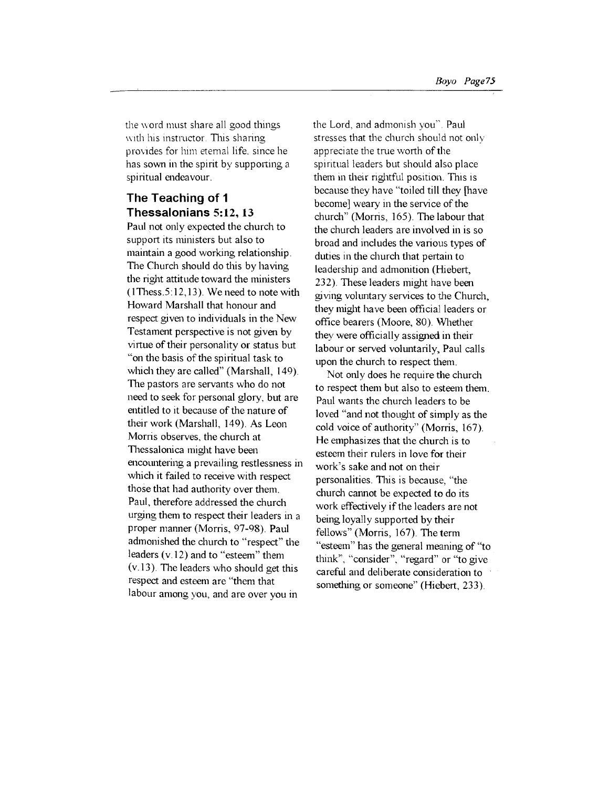the word must share all good things with his instructor. This sharing provides for him etemal life, since he has sown in the spirit by supporting a spiritual endeavour.

## **The Teaching of 1 Thessalonians 5:12, 13**

Paul not only expected the church to support its ministers but also to maintain a good working relationship. The Church should do this by having the right attitude toward the ministers  $(1$ Thess.  $5: 12, 13)$ . We need to note with Howard Marshal! that honour and respect given to individuals in the New Testament perspective is not given by virtue of their personality or status but "on the basis of the spiritual task to which they are called" (Marshall, 149). The pastors are servants who do not need to seek for personal glory, but are entitled to it because of the nature of their work (Marshall, 149). As Leon Morris observes, the church at Thessalonica might have been encOlmtering a prevailing restlessness in which it failed to receive with respect those that had authority over them. Paul, therefore addressed the church urging them to respect their leaders in a proper manner (Morris, 97-98). Paul admonished the church to "respect" the leaders (v.l2) and to "esteem" them  $(v.13)$ . The leaders who should get this respect and esteem are "them that labour among you, and are over you in

the Lord, and admomsh you". Paul stresses that the church should not only appreciate the true worth of the spiritual leaders but should also place them in their rightful position. This is because they have "toiled till they [have become] weary in the service of the church" (Morris, 165). The labour that the church leaders are involved in is so broad and includes the various types of duties in the church that pertain to leadership and admonition (Hiebert, 232). These leaders might have been giving voluntary services to the Church, they might have been official leaders or office bearers (Moore, 80). Whether they were officially assigned in their labour or served voluntarily, Paul calls upon the church to respect them.

Not only does he require the church to respect them but also to esteem them. Paul wants the church leaders to be loved "and not thought of simply as the cold voice of authority" (Morris, 167). He emphasizes that the church is to esteem their rulers in love for their work's sake and not on their personalities. This is because, "the church cannot be expected to do its work effectively if the leaders are not being loyally supported by their fellows" (Morris, 167). The term "esteem" has the general meaning of "to think", "consider", "regard" or "to give careful and deliberate consideration to something or someone" (Hiebert, 233).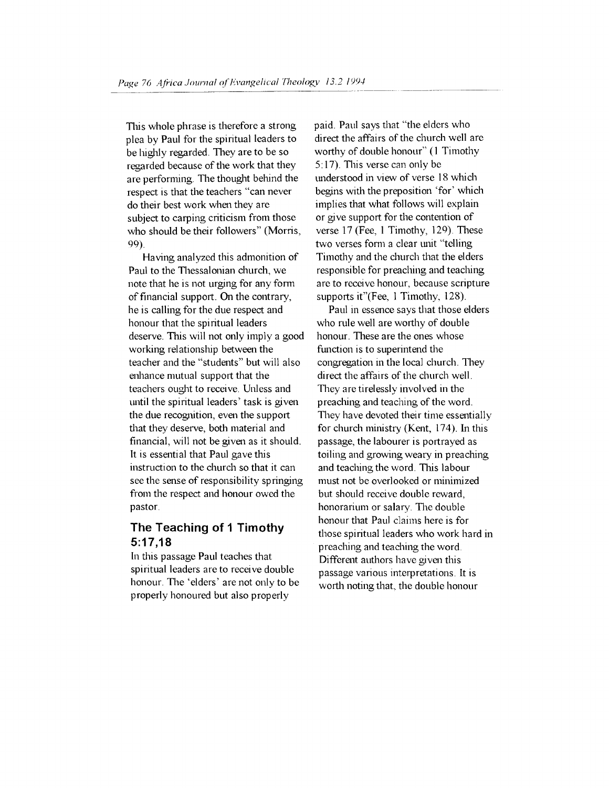This whole phrase is therefore a strong plea by Paul for the spiritual leaders to be lughly regarded. They are to be so regarded because of the work that they are performing. The thought behind the respect is that the teachers "can never do their best work when they are subject to carping criticism from those who should be their followers" (Morris, 99).

Having analyzed this admonition of Paul to the Thessalonian church, we note that he is not urging for any form of financial support. On the contrary, he is calling for the due respect and honour that the spiritual leaders deserve. This will not only imply a good working relationship between the teacher and the "students" but will also enhance mutual support that the teachers ought to receive. Unless and until the spiritual leaders' task is given the due recognition, even the support that they deserve, both material and financial, will not be given as it should. It is essential that Paul gave this instruction to the church so that it can see the sense of responsibility springing from the respect and honour owed the pastor.

## **The Teaching of 1 Timothy 5:17,18**

In this passage Paul teaches that spiritual leaders are to receive double honour. The 'elders' are not only to be properly honoured but also properly

paid. Paul says that "the elders who direct the affairs of the church well are worthy of double honour" (1 Timothy  $5:17$ ). This verse can only be understood in view of verse 18 which begins with the preposition 'for' which implies that what follows will explain or give support for the contention of verse 17 (Fee, I Timothy, 129). These two verses form a clear unit "telling" Timothy and the church that the elders responsible for preaching and teaching are to receive honour, because scripture supports it"(Fee, 1 Timothy, 128).

Paul in essence says that those elders who rule well are worthy of double honour. These are the ones whose function is to superintend the congregation in the local church. They direct the affairs of the church well. They are tirelessly involved in the preaching and teaching of the word. They have devoted their time essentially for church ministry (Kent, I74). In this passage, the labourer is portrayed as toiling and growing weary in preaching and teaching the word. This labour must not be overlooked or minimized but should receive double reward, honorarium or salary. The double honour that Paul claims here is for those spiritual leaders who work hard in preaclung and teaching the word. Different authors have given this passage various interpretations. lt is worth noting that, the double honour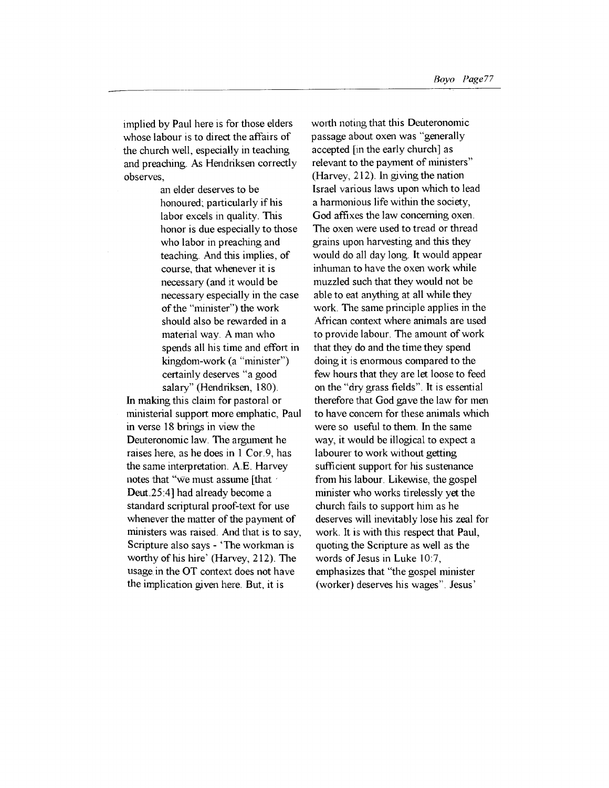implied by Paul here is for those elders whose labour is to direct the affairs of the church well, especially in teaching and preaching. As Hendriksen correctly observes,

> an elder deserves to be honoured; particularly if his labor excels in quality. This honor is due especially to those who labor in preaching and teaching. And this implies, of course, that whenever it is necessary (and it would be necessary especially in the case of the "minister") the work should also be rewarded in a material way. A man who spends all his time and effort in kingdom-work (a "minister") certainly deserves "a good salary" (Hendriksen, 180).

In making this claim for pastoral or ministerial support more emphatic, Paul in verse 18 brings in view the Deuteronomic law. The argument he raises here, as he does in 1 Cor. 9, has the same interpretation. A.E. Harvey notes that " $\overline{w}$  e must assume [that Deut.25:4] had already become a standard scriptural proof-text for use whenever the matter of the payment of ministers was raised. And that is to say, Scripture also says- 'The workman is worthy of his hire' (Harvey, 212). The usage in the OT context does not have the implication given here. But, it is

worth noting that this Deuteronomic passage about oxen was "generally accepted [in the early church] as relevant to the payment of ministers" (Harvey, 212). In giving the nation Israel various laws upon which to lead a harmonious life within the society, God affixes the law concerning oxen. The oxen were used to tread or thread grains upon harvesting and this they would do all day long. It would appear inhuman to have the oxen work while muzzled such that they would not be able to eat anything at all while they work. The same principle applies in the African context where animals are used to provide labour. The amount of work that they do and the time they spend doing it is enormous compared to the few hours that they are let loose to feed on the "dry grass fields". It is essential therefore that God gave the law for men to have concem for these animals which were so useful to them. In the same way, it would be illogical to expect a labourer to work without getting sufficient support for his sustenance from his labour. Likewise, the gospel minister who works tirelessly yet the church fails to support him as he deserves will inevitably lose his zeal for work. It is with this respect that Paul, quoting the Scripture as well as the words of Jesus in Luke 10:7, emphasizes that "the gospel minister (worker) deserves his wages". Jesus'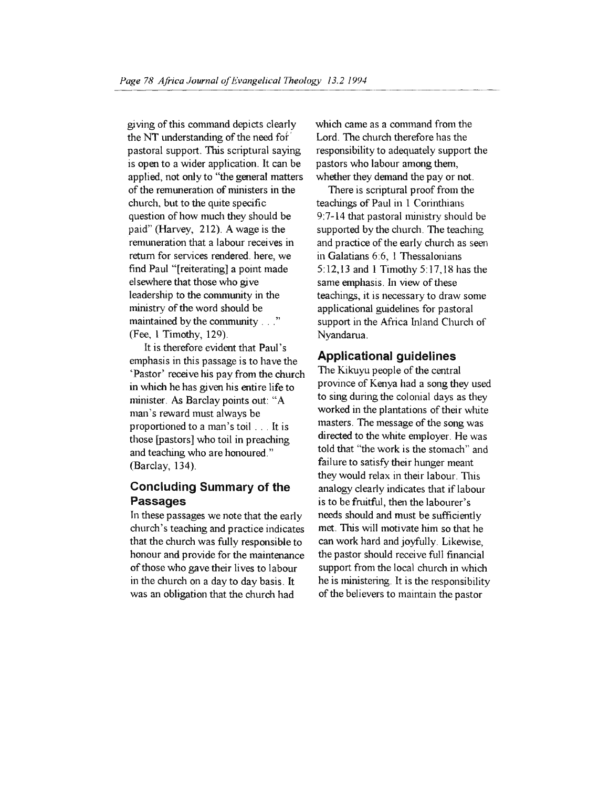giving of this command depicts clearly the NT understanding of the need fof ' pastoral support. This scriptural saying is open to a wider application. It can be applied, not only to "the general matters of the remuneration of ministers in the church, but to the quite specific question of how much they should be paid" (Harvey, 212). A wage is the remuneration that a labour receives in return for services rendered. here, we find Paul "[reiterating] a point made elsewhere that those who give leadership to the community in the ministry of the word should be maintained by the community ...." (Fee, l Timothy, 129).

It is therefore evident that Paul's emphasis in this passage is to have the 'Pastor' receive his pay from the church in which he has given his entire life to minister. As Barclay points out: "A man's reward must always be proportioned to a man's toil . . . It is those [pastors] who toil in preaching and teaching who are honoured." (Barclay, 134).

## **Concluding Summary of the Passages**

In these passages we note that the early church's teaching and practice indicates that the church was fully responsible to honour and provide for the maintenance of those who gave their lives to labour in the church on a day to day basis. It was an obligation that the church had

which came as a command from the Lord. The church therefore has the responsibility to adequately support the pastors who labour among them, whether they demand the pay or not.

There is scriptural proof from the teachings of Paul in 1 Corinthians 9:7-14 that pastoral ministry should be supported by the church. The teaching and practice of the early church as seen in Galatians 6:6, 1 Thessalonians 5:12,13 and 1 Timothy 5:17,18 has the same emphasis. In view of these teachings, it is necessary to draw some applicational guidelines for pastoral support in the Africa Inland Church of Nyandarua.

#### **Applicational guidelines**

The Kikuyu people of the central province of Kenya had a song they used to sing during the colonial days as they worked in the plantations of their white masters. The message of the song was directed to the white employer. He was told that "the work is the stomach" and failure to satisfy their hunger meant they would relax in their labour. This analogy clearly indicates that if labour is to be fruitful, then the labourer's needs should and must be sufficiently met. This will motivate him so that he can work hard and joyfully. Likewise, the pastor should receive full financial support from the local church in which he is ministering. It is the responsibility of the believers to maintain the pastor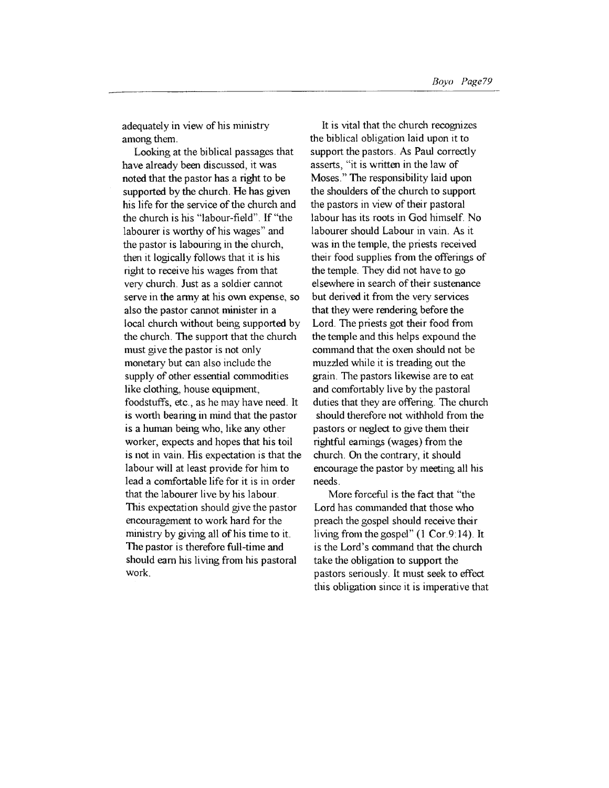adequately in view of his ministry among them.

Looking at the biblical passages that have already been discussed, it was noted that the pastor has a right to be supported by the church. He has given his life for the service of the church and the church is his "labour-field". If "the labourer is worthy of his wages" and the pastor is labouring in the church, then it logically follows that it is his right to receive his wages from that very church. Just as a soldier cannot serve in the army at his own expense, so also the pastor cannot minister in a local church without being supported by the church. The support that the church must give the pastor is not only monetary but can also include the supply of other essential commodities like clothing, house equipment, foodstuffs, etc , as he may have need. It is worth bearing in mind that the pastor is a human being who, like any other worker, expects and hopes that his toil is not in vain. His expectation is that the labour will at least provide for him to lead a comfortable life for it is in order that the labourer live by his labour. This expectation should give the pastor encouragement to work hard for the ministry by giving all of his time to it. The pastor is therefore full-time and should earn his living from his pastoral work.

It is vital that the church recognizes the biblical obligation laid upon it to support the pastors. As Paul correctly asserts, "it is written in the law of Moses." The responsibility laid upon the shoulders of the church to support the pastors in view of their pastoral labour has its roots in God himself. No labourer should Labour in vain. As it was in the temple, the priests received their food supplies from the offerings of the temple. They did not have to go elsewhere in search of their sustenance but derived it from the very services that they were rendering before the Lord. The priests got their food from the temple and this helps expound the command that the oxen should not be muzzled while it is treading out the grain. The pastors likewise are to eat and comfortably live by the pastoral duties that they are offering. The church should therefore not withhold from the pastors or neglect to give them their rightful earnings (wages) from the church. On the contrary, it should encourage the pastor by meeting all his needs.

More forceful is the fact that "the Lord has commanded that those who preach the gospel should receive their living from the gospel" (1 Cor. 9:14). It is the Lord's command that the church take the obligation to support the pastors seriously. It must seek to effect this obligation since it is imperative that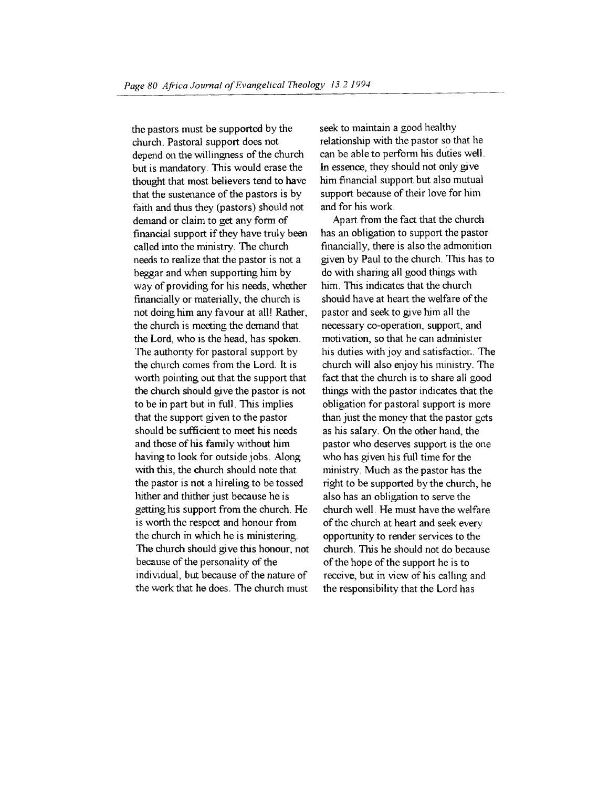the pastors must be supported by the church. Pastoral support does not depend on the willingness of the church but is mandatory. This would erase the thought that most believers tend to have that the sustenance of the pastors is by faith and thus they (pastors) should not demand or claim to get any form of financial support if they have truly been called into the ministry. The church needs to realize that the pastor is not a beggar and when supporting him by way of providing for his needs, whether financially or materially, the church is not doing him any favour at all! Rather, the church is meeting the demand that the Lord, who is the head, has spoken. The authority for pastoral support by the church comes from the Lord. It is worth pointing out that the support that the church should give the pastor is not to be in part but in full . This implies that the support given to the pastor should be sufficient to meet his needs and those of his family without him having to look for outside jobs. Along with this, the church should note that the pastor is not a hireling to be tossed hither and thither just because he is getting his support from the church. He is worth the respect and honour from the church in which he is ministering. The church should give this honour, not because of the personality of the individual, but because of the nature of the work that he does. The church must

seek to maintain a good healthy relationship with the pastor so that he can be able to perform his duties well. In essence, they should not only give him financial support but also mutual support because of their love for him and for his work.

Apart from the fact that the church has an obligation to support the pastor financially, there is also the admonition given by Paul to the church. This has to do with sharing all good things with him. This indicates that the church should have at heart the welfare of the pastor and seek to give him all the necessary co-operation, support, and motivation, so that he can administer his duties with joy and satisfaction. The church will also enjoy his ministry. The fact that the church is to share all good things with the pastor indicates that the obligation for pastoral support is more than just the money that the pastor gets as his salary. On the other hand, the pastor who deserves support is the one who has given his fuil time for the ministry. Much as the pastor has the right to be supported by the church, he also has an obligation to serve the church well . He must have the welfare of the church at heart and seek every opportunity to render services to the church. This he should not do because of the hope of the support he is to receive, but in view of his calling and the responsibility that the Lord has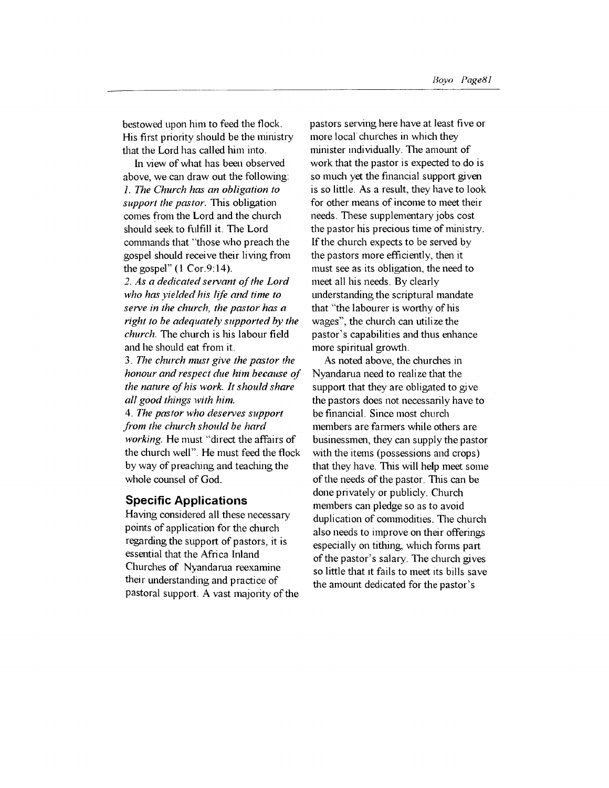bestowed upon him to feed the flock. His first priority should be the ministry that the Lord has called him into.

In view of what has been observed above, we can draw out the following: *1. The Church has an obligation to support the pastor.* This obligation comes from the Lord and the church should seek to fulfill it. The Lord commands that "those who preach the gospel should receive their living from the gospel" (1 Cor.9:14).

*2. As a dedicated servant of the Lord who has yielded his life and time to serve in the church, the pastor has a right to be adequately supported by the church.* The church is his labour field and he should eat from it.

3. *The church must give the pastor the honour and respect due him because of the nature of his work. It should share all good things with him.* 

4. *The pastor who deserves support from the church should be hard working.* He must "direct the affairs of the church well". He must feed the flock by way of preaching and teaching the whole counsel of God.

#### **Specific Applications**

Having considered all these necessary points of application for the church regarding the support of pastors, it is essential that the Africa Inland Churches of Nyandarua reexamine their understanding and practice of pastoral support. A vast majority of the pastors serving here have at least five or more local churches in which they minister individually. The amount of work that the pastor is expected to do is so much yet the financial support given is so little. As a result, they have to look for other means of income to meet their needs. These supplementary jobs cost the pastor his precious time of ministry. If the church expects to be served by the pastors more efficiently, then it must see as its obligation, the need to meet all his needs. By clearly understanding the scriptural mandate that "the labourer is worthy of his wages", the church can utilize the pastor's capabilities and thus enhance more spiritual growth.

As noted above, the churches in Nyandarua need to realize that the support that they are obligated to give the pastors does not necessarily have to be financial. Since most church members are farmers while others are businessmen, they can supply the pastor with the items (possessions and crops) that they have. This will help meet some of the needs of the pastor. This can be done privately or publicly. Church members can pledge so as to avoid duplication of commodities. The church also needs to improve on their offerings especially on tithing, which forms part of the pastor's salary. The church gives so little that tt fails to meet its bills save the amount dedicated for the pastor's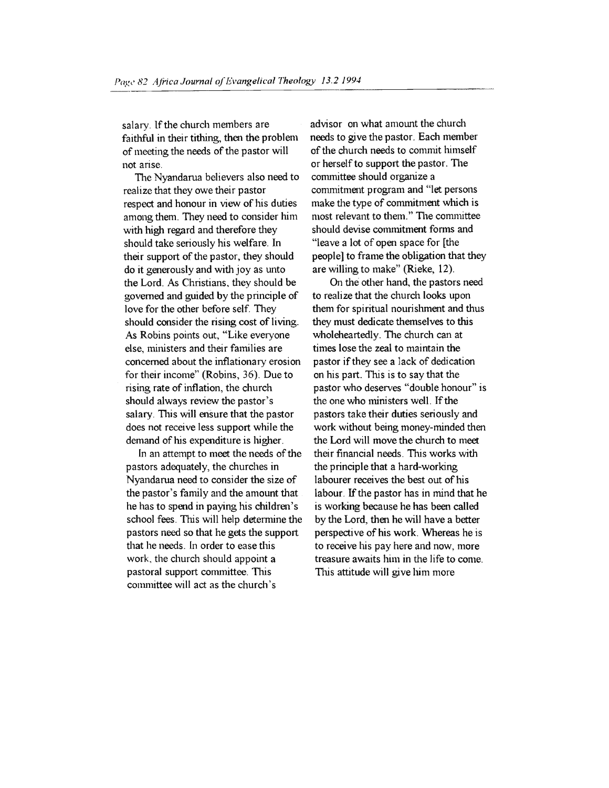salary. If the church members are faithful in their tithing, then the problem of meeting the needs of the pastor will not arise.

The Nyandarua believers also need to realize that they owe their pastor respect and honour in view of his duties among them. They need to consider him with high regard and therefore they should take seriously his welfare. In their support of the pastor, they should do it generously and with joy as unto the Lord. As Christians, they should be governed and guided by the principle of love for the other before self. They should consider the rising cost of living. As Robins points out, "Like everyone else, ministers and their families are concerned about the inflationary erosion for their income'' (Robins, 36). Due to rising rate of inflation, the church should always review the pastor's salary. This will ensure that the pastor does not receive less support while the demand of his expenditure is higher.

In an attempt to meet the needs of the pastors adequately, the churches in Nyandarua need to consider the size of the pastor's family and the amount that he has to spend in paying his children's school fees. This will help determine the pastors need so that he gets the support that he needs. In order to ease this work, the church should appoint a pastoral support committee. This committee will act as the church's

advisor on what amount the church needs to give the pastor. Each member of the church needs to commit himself or herself to support the pastor. The committee should organize a commitment program and "let persons make the type of commitment which is most relevant to them." The committee should devise commitment forms and "leave a lot of open space for [the people] to frame the obligation that they are willing to make" (Rieke, 12).

On the other hand, the pastors need to realize that the church looks upon them for spiritual nourishment and thus they must dedicate themselves to this wholeheartedly. The church can at times lose the zeal to maintain the pastor if they see a lack of dedication on his part. This is to say that the pastor who deserves "double honour" is the one who ministers well. If the pastors take their duties seriously and work without being money-minded then the Lord will move the church to meet their financial needs. This works with the principle that a hard-working labourer receives the best out of his labour. If the pastor has in mind that he is working because he has been called by the Lord, then he will have a better perspective of his work. Whereas he is to receive his pay here and now, more treasure awaits him in the life to come. This attitude will give him more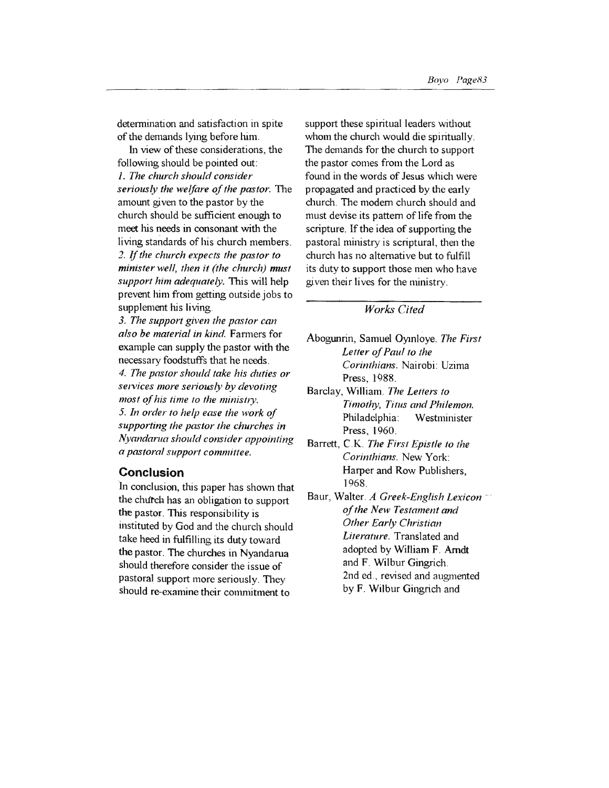detennination and satisfaction in spite of the demands lying before him.

In view of these considerations, the following should be pointed out: 1. *The church should consider seriously the welfare of the pastor.* The amount given to the pastor by the church should be sufficient enough to meet his needs in consonant with the living standards of his church members. *2.* If *the church expects the pastor to minister well, then it (the church) must support him adequately.* This will help prevent him from getting outside jobs to supplement his living.

*3. The support given the pastor can also be material in kind.* Farmers for example can supply the pastor with the necessary foodstuffs that he needs. *4. The pastor should take his duties or se1vices more seriously by devoting most of his time to the ministry.* 5. *In order to help ease the work of supporting the pastor the churches in Nyandanta should consider appointing a pastoral support committee.* 

#### **Conclusion**

In conclusion, this paper has shown that the church has an obligation to support the pastor. This responsibility is instituted by God and the church should take heed in fulfilling its duty toward the pastor. The churches in Nyandarua should therefore consider the issue of pastoral support more seriously. They should re-examine their commitment to

support these spiritual leaders without whom the church would die spiritually. The demands for the church to support the pastor comes from the Lord as found in the words of Jesus which were propagated and practiced by the early church. The modem church should and must devise its pattern of life from the scripture. If the idea of supporting the pastoral ministry is scriptural, then the church has no alternative but to fulfill its duty to support those men who have given their lives for the ministry.

#### *Works Cited*

- Abogunrin, Samuel Oymloye. *The First Letter of Paul to the Corinthians.* Nairobi: Uzima Press, 1988.
- Barclay, William. *The Letters to Timothy, Titus and Philemon.*  Philadelphia: Westminister Press, 1960.
- Barrett, C.K. *The First Epistle to the Corinthians.* New York: Harper and Row Publishers, 1968.
- Baur, Waiter. *A Greek-English Lexicon* -· *of the New Testament and Other Early Christian Literature.* Translated and adopted by William F. Amdt and F. Wilbur Gingrich. 2nd ed., revised and augmented by F. Wilbur Gingrich and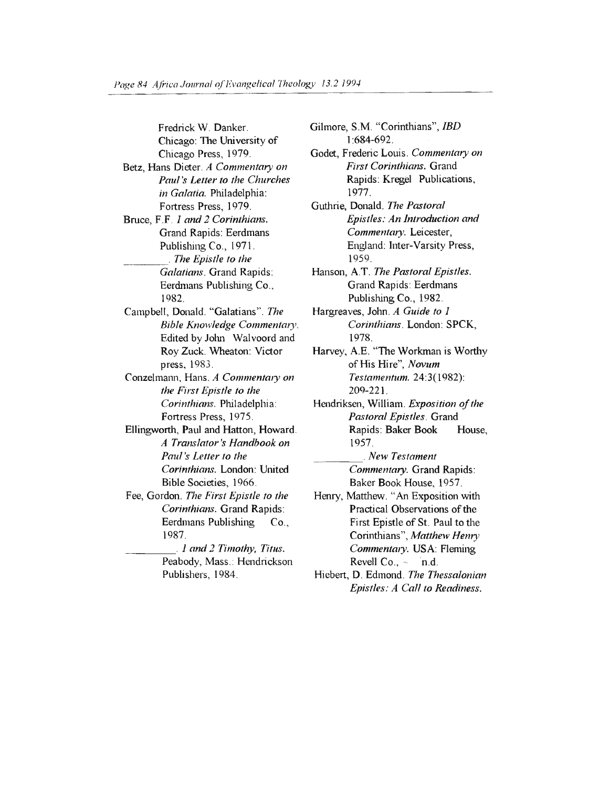Fredrick W. Danker. Chicago: The University of Chicago Press, 1979. Betz, Hans Dieter. *A Commentary on Paul's Letter to the Churches in Galatia.* Philadelphia: Fortress Press, 1979. Bruce, F .F *1 and 2 Corinthians.*  Grand Rapids: Eerdmans Publishing Co., 1971.<br>The Epistle to the *Galatians.* Grand Rapids: Eerdmans Publishing Co., 1982. Campbell, Donald. "Galatians". *The*  **Bible Knowledge Commentary.** Edited by John Walvoord and Roy Zuck. Wheaton: Victor press, 1983. Conzelmann, Hans. *A Commentary on the First Epistle to the Corinthians.* Philadelphia: Fortress Press, 1975. Ellingworth, Paul and Hatton, Howard. *A Translator 's Handbook on Paul 's Letter to the Corinthians.* London: United Bible Societies, 1966. Fee, Gordon. *The First Epistle to the Corinthians.* Grand Rapids: Eerdmans Publishing Co., 1987. \_ \_\_\_ . *1 and 2 Timothy, Titus.*  Peabody, Mass.: Hendrickson Publishers, 1984.

1977. Guthrie, Donald. *The Pastoral Epistles: An Introduction and Commentary.* Leicester, England: Inter-Varsity Press, 1959. Hanson, A.T. *The Pastoral Epistles.*  Grand Rapids: Eerdmans Publishing Co., 1982. Hargreaves, John . *A Guide to 1 Corinthians.* London: SPCK, 1978. Harvey, A.E. "The Workman is Worthy of His Hire", *Novum Testamentum.* 24:3(1982): 209-221. Hendriksen, William. *Exposition of the Pastoral Epistles.* Grand Rapids: Baker Book House, 1957.  $New Testament$ *Commentary.* Grand Rapids: Baker Book House, 1957.

Gilmore, S.M. "Corinthians", */BD*  I :684-692.

Godet, Frederic Louis. *Commentary on First Corinthians.* Grand Rapids: Kregel Publications,

- Henry, Matthew. " An Exposition with Practical Observations of the First Epistle of St. Paul to the Corinthians", Matthew Henry *Commentary*. USA: Fleming Revell Co., - n.d.
- Hiebert, D. Edmond. *The Thessalonian Epistles: A Call to Readiness.*